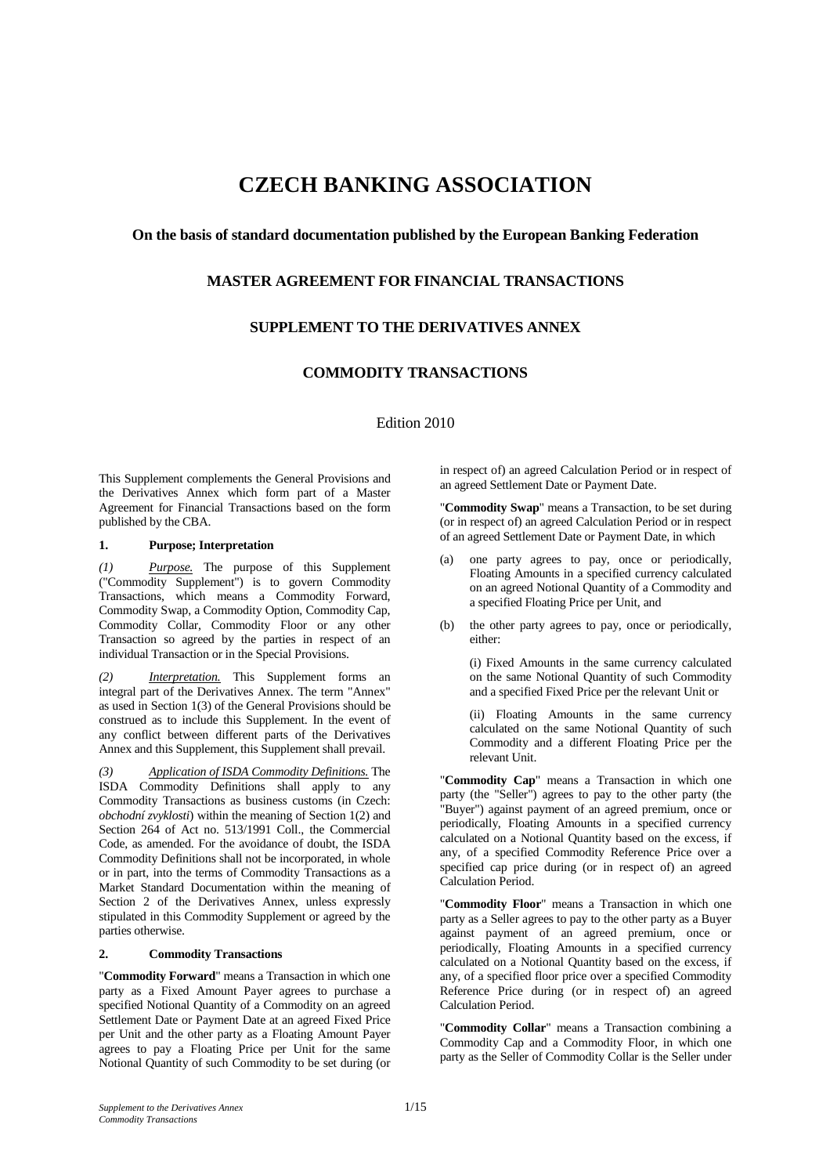# **CZECH BANKING ASSOCIATION**

## **On the basis of standard documentation published by the European Banking Federation**

# **MASTER AGREEMENT FOR FINANCIAL TRANSACTIONS**

# **SUPPLEMENT TO THE DERIVATIVES ANNEX**

# **COMMODITY TRANSACTIONS**

Edition 2010

This Supplement complements the General Provisions and the Derivatives Annex which form part of a Master Agreement for Financial Transactions based on the form published by the CBA.

#### **1. Purpose; Interpretation**

*(1) Purpose.* The purpose of this Supplement ("Commodity Supplement") is to govern Commodity Transactions, which means a Commodity Forward, Commodity Swap, a Commodity Option, Commodity Cap, Commodity Collar, Commodity Floor or any other Transaction so agreed by the parties in respect of an individual Transaction or in the Special Provisions.

*Interpretation.* This Supplement forms an integral part of the Derivatives Annex. The term "Annex" as used in Section 1(3) of the General Provisions should be construed as to include this Supplement. In the event of any conflict between different parts of the Derivatives Annex and this Supplement, this Supplement shall prevail.

*(3) Application of ISDA Commodity Definitions.* The ISDA Commodity Definitions shall apply to any Commodity Transactions as business customs (in Czech: *obchodní zvyklosti*) within the meaning of Section 1(2) and Section 264 of Act no. 513/1991 Coll., the Commercial Code, as amended. For the avoidance of doubt, the ISDA Commodity Definitions shall not be incorporated, in whole or in part, into the terms of Commodity Transactions as a Market Standard Documentation within the meaning of Section 2 of the Derivatives Annex, unless expressly stipulated in this Commodity Supplement or agreed by the parties otherwise.

#### **2. Commodity Transactions**

"**Commodity Forward**" means a Transaction in which one party as a Fixed Amount Payer agrees to purchase a specified Notional Quantity of a Commodity on an agreed Settlement Date or Payment Date at an agreed Fixed Price per Unit and the other party as a Floating Amount Payer agrees to pay a Floating Price per Unit for the same Notional Quantity of such Commodity to be set during (or

in respect of) an agreed Calculation Period or in respect of an agreed Settlement Date or Payment Date.

"**Commodity Swap**" means a Transaction, to be set during (or in respect of) an agreed Calculation Period or in respect of an agreed Settlement Date or Payment Date, in which

- (a) one party agrees to pay, once or periodically, Floating Amounts in a specified currency calculated on an agreed Notional Quantity of a Commodity and a specified Floating Price per Unit, and
- (b) the other party agrees to pay, once or periodically, either:

 (i) Fixed Amounts in the same currency calculated on the same Notional Quantity of such Commodity and a specified Fixed Price per the relevant Unit or

 (ii) Floating Amounts in the same currency calculated on the same Notional Quantity of such Commodity and a different Floating Price per the relevant Unit.

"**Commodity Cap**" means a Transaction in which one party (the "Seller") agrees to pay to the other party (the "Buyer") against payment of an agreed premium, once or periodically, Floating Amounts in a specified currency calculated on a Notional Quantity based on the excess, if any, of a specified Commodity Reference Price over a specified cap price during (or in respect of) an agreed Calculation Period.

"**Commodity Floor**" means a Transaction in which one party as a Seller agrees to pay to the other party as a Buyer against payment of an agreed premium, once or periodically, Floating Amounts in a specified currency calculated on a Notional Quantity based on the excess, if any, of a specified floor price over a specified Commodity Reference Price during (or in respect of) an agreed Calculation Period.

"**Commodity Collar**" means a Transaction combining a Commodity Cap and a Commodity Floor, in which one party as the Seller of Commodity Collar is the Seller under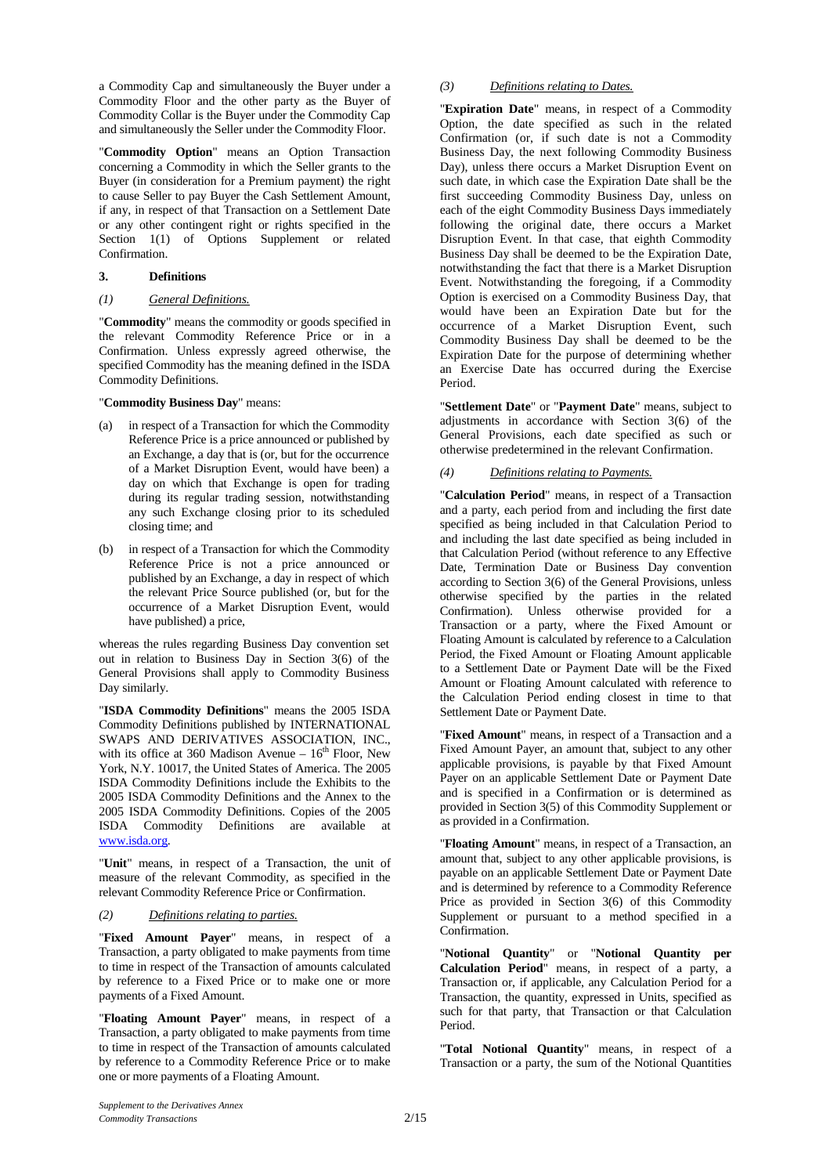a Commodity Cap and simultaneously the Buyer under a Commodity Floor and the other party as the Buyer of Commodity Collar is the Buyer under the Commodity Cap and simultaneously the Seller under the Commodity Floor.

"**Commodity Option**" means an Option Transaction concerning a Commodity in which the Seller grants to the Buyer (in consideration for a Premium payment) the right to cause Seller to pay Buyer the Cash Settlement Amount, if any, in respect of that Transaction on a Settlement Date or any other contingent right or rights specified in the Section 1(1) of Options Supplement or related Confirmation.

#### **3. Definitions**

#### *(1) General Definitions.*

"**Commodity**" means the commodity or goods specified in the relevant Commodity Reference Price or in a Confirmation. Unless expressly agreed otherwise, the specified Commodity has the meaning defined in the ISDA Commodity Definitions.

#### "**Commodity Business Day**" means:

- (a) in respect of a Transaction for which the Commodity Reference Price is a price announced or published by an Exchange, a day that is (or, but for the occurrence of a Market Disruption Event, would have been) a day on which that Exchange is open for trading during its regular trading session, notwithstanding any such Exchange closing prior to its scheduled closing time; and
- (b) in respect of a Transaction for which the Commodity Reference Price is not a price announced or published by an Exchange, a day in respect of which the relevant Price Source published (or, but for the occurrence of a Market Disruption Event, would have published) a price,

whereas the rules regarding Business Day convention set out in relation to Business Day in Section 3(6) of the General Provisions shall apply to Commodity Business Day similarly.

"**ISDA Commodity Definitions**" means the 2005 ISDA Commodity Definitions published by INTERNATIONAL SWAPS AND DERIVATIVES ASSOCIATION, INC., with its office at 360 Madison Avenue –  $16<sup>th</sup>$  Floor, New York, N.Y. 10017, the United States of America. The 2005 ISDA Commodity Definitions include the Exhibits to the 2005 ISDA Commodity Definitions and the Annex to the 2005 ISDA Commodity Definitions. Copies of the 2005 ISDA Commodity Definitions are available at www.isda.org.

"**Unit**" means, in respect of a Transaction, the unit of measure of the relevant Commodity, as specified in the relevant Commodity Reference Price or Confirmation.

## *(2) Definitions relating to parties.*

"**Fixed Amount Payer**" means, in respect of a Transaction, a party obligated to make payments from time to time in respect of the Transaction of amounts calculated by reference to a Fixed Price or to make one or more payments of a Fixed Amount.

"**Floating Amount Payer**" means, in respect of a Transaction, a party obligated to make payments from time to time in respect of the Transaction of amounts calculated by reference to a Commodity Reference Price or to make one or more payments of a Floating Amount.

## *(3) Definitions relating to Dates.*

"**Expiration Date**" means, in respect of a Commodity Option, the date specified as such in the related Confirmation (or, if such date is not a Commodity Business Day, the next following Commodity Business Day), unless there occurs a Market Disruption Event on such date, in which case the Expiration Date shall be the first succeeding Commodity Business Day, unless on each of the eight Commodity Business Days immediately following the original date, there occurs a Market Disruption Event. In that case, that eighth Commodity Business Day shall be deemed to be the Expiration Date, notwithstanding the fact that there is a Market Disruption Event. Notwithstanding the foregoing, if a Commodity Option is exercised on a Commodity Business Day, that would have been an Expiration Date but for the occurrence of a Market Disruption Event, such Commodity Business Day shall be deemed to be the Expiration Date for the purpose of determining whether an Exercise Date has occurred during the Exercise Period.

"**Settlement Date**" or "**Payment Date**" means, subject to adjustments in accordance with Section 3(6) of the General Provisions, each date specified as such or otherwise predetermined in the relevant Confirmation.

## *(4) Definitions relating to Payments.*

"**Calculation Period**" means, in respect of a Transaction and a party, each period from and including the first date specified as being included in that Calculation Period to and including the last date specified as being included in that Calculation Period (without reference to any Effective Date, Termination Date or Business Day convention according to Section 3(6) of the General Provisions, unless otherwise specified by the parties in the related Confirmation). Unless otherwise provided for a Transaction or a party, where the Fixed Amount or Floating Amount is calculated by reference to a Calculation Period, the Fixed Amount or Floating Amount applicable to a Settlement Date or Payment Date will be the Fixed Amount or Floating Amount calculated with reference to the Calculation Period ending closest in time to that Settlement Date or Payment Date.

"**Fixed Amount**" means, in respect of a Transaction and a Fixed Amount Payer, an amount that, subject to any other applicable provisions, is payable by that Fixed Amount Payer on an applicable Settlement Date or Payment Date and is specified in a Confirmation or is determined as provided in Section 3(5) of this Commodity Supplement or as provided in a Confirmation.

"**Floating Amount**" means, in respect of a Transaction, an amount that, subject to any other applicable provisions, is payable on an applicable Settlement Date or Payment Date and is determined by reference to a Commodity Reference Price as provided in Section 3(6) of this Commodity Supplement or pursuant to a method specified in a Confirmation.

"**Notional Quantity**" or "**Notional Quantity per Calculation Period**" means, in respect of a party, a Transaction or, if applicable, any Calculation Period for a Transaction, the quantity, expressed in Units, specified as such for that party, that Transaction or that Calculation Period.

"**Total Notional Quantity**" means, in respect of a Transaction or a party, the sum of the Notional Quantities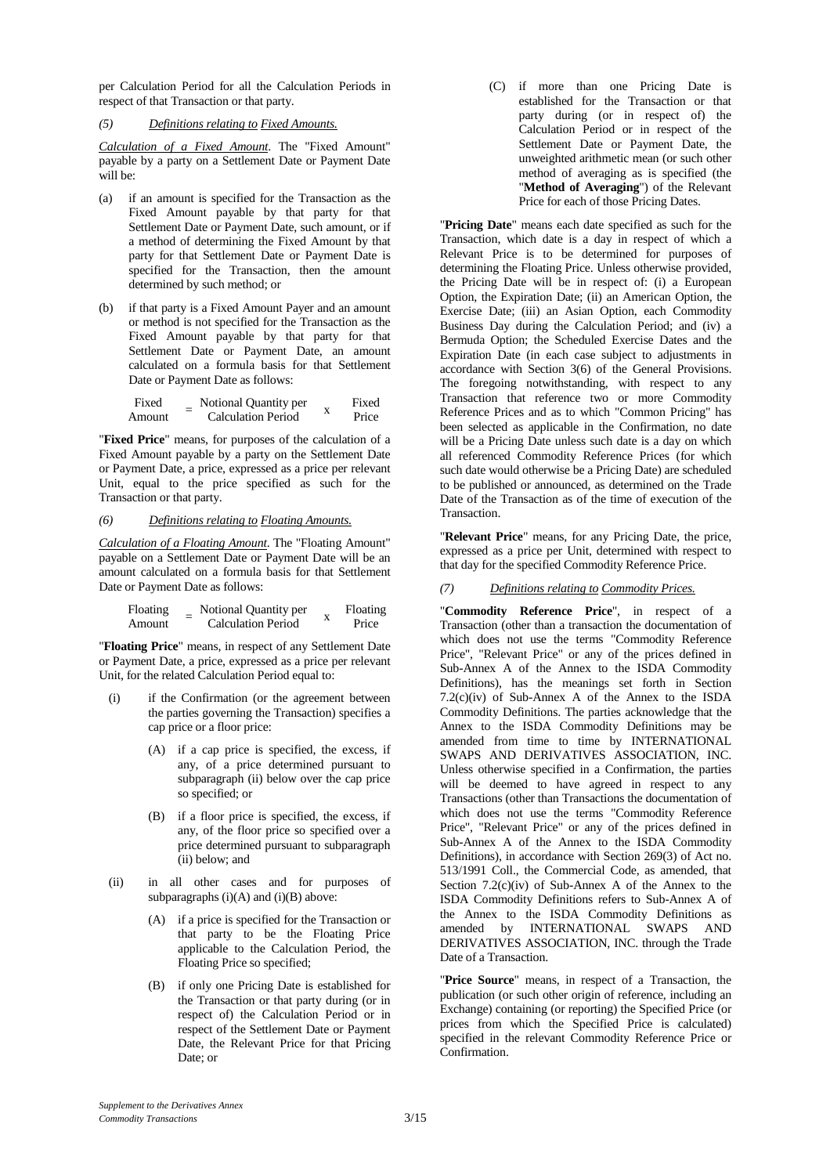per Calculation Period for all the Calculation Periods in respect of that Transaction or that party.

#### *(5) Definitions relating to Fixed Amounts.*

*Calculation of a Fixed Amount*. The "Fixed Amount" payable by a party on a Settlement Date or Payment Date will be:

- (a) if an amount is specified for the Transaction as the Fixed Amount payable by that party for that Settlement Date or Payment Date, such amount, or if a method of determining the Fixed Amount by that party for that Settlement Date or Payment Date is specified for the Transaction, then the amount determined by such method; or
- (b) if that party is a Fixed Amount Payer and an amount or method is not specified for the Transaction as the Fixed Amount payable by that party for that Settlement Date or Payment Date, an amount calculated on a formula basis for that Settlement Date or Payment Date as follows:

Fixed Amount <sup>=</sup> Notional Quantity per <br>Calculation Period x Fixed Price

"**Fixed Price**" means, for purposes of the calculation of a Fixed Amount payable by a party on the Settlement Date or Payment Date, a price, expressed as a price per relevant Unit, equal to the price specified as such for the Transaction or that party.

#### *(6) Definitions relating to Floating Amounts.*

*Calculation of a Floating Amount*. The "Floating Amount" payable on a Settlement Date or Payment Date will be an amount calculated on a formula basis for that Settlement Date or Payment Date as follows:

| Floating | Notional Quantity per     |   | Floating |
|----------|---------------------------|---|----------|
| Amount   | <b>Calculation Period</b> | л | Price    |

"**Floating Price**" means, in respect of any Settlement Date or Payment Date, a price, expressed as a price per relevant Unit, for the related Calculation Period equal to:

- (i) if the Confirmation (or the agreement between the parties governing the Transaction) specifies a cap price or a floor price:
	- (A) if a cap price is specified, the excess, if any, of a price determined pursuant to subparagraph (ii) below over the cap price so specified; or
	- (B) if a floor price is specified, the excess, if any, of the floor price so specified over a price determined pursuant to subparagraph (ii) below; and
- (ii) in all other cases and for purposes of subparagraphs  $(i)(A)$  and  $(i)(B)$  above:
	- (A) if a price is specified for the Transaction or that party to be the Floating Price applicable to the Calculation Period, the Floating Price so specified;
	- (B) if only one Pricing Date is established for the Transaction or that party during (or in respect of) the Calculation Period or in respect of the Settlement Date or Payment Date, the Relevant Price for that Pricing Date; or

(C) if more than one Pricing Date is established for the Transaction or that party during (or in respect of) the Calculation Period or in respect of the Settlement Date or Payment Date, the unweighted arithmetic mean (or such other method of averaging as is specified (the "**Method of Averaging**") of the Relevant Price for each of those Pricing Dates.

"**Pricing Date**" means each date specified as such for the Transaction, which date is a day in respect of which a Relevant Price is to be determined for purposes of determining the Floating Price. Unless otherwise provided, the Pricing Date will be in respect of: (i) a European Option, the Expiration Date; (ii) an American Option, the Exercise Date; (iii) an Asian Option, each Commodity Business Day during the Calculation Period; and (iv) a Bermuda Option; the Scheduled Exercise Dates and the Expiration Date (in each case subject to adjustments in accordance with Section 3(6) of the General Provisions. The foregoing notwithstanding, with respect to any Transaction that reference two or more Commodity Reference Prices and as to which "Common Pricing" has been selected as applicable in the Confirmation, no date will be a Pricing Date unless such date is a day on which all referenced Commodity Reference Prices (for which such date would otherwise be a Pricing Date) are scheduled to be published or announced, as determined on the Trade Date of the Transaction as of the time of execution of the **Transaction** 

"**Relevant Price**" means, for any Pricing Date, the price, expressed as a price per Unit, determined with respect to that day for the specified Commodity Reference Price.

#### *(7) Definitions relating to Commodity Prices.*

"**Commodity Reference Price**", in respect of a Transaction (other than a transaction the documentation of which does not use the terms "Commodity Reference Price", "Relevant Price" or any of the prices defined in Sub-Annex A of the Annex to the ISDA Commodity Definitions), has the meanings set forth in Section 7.2(c)(iv) of Sub-Annex A of the Annex to the ISDA Commodity Definitions. The parties acknowledge that the Annex to the ISDA Commodity Definitions may be amended from time to time by INTERNATIONAL SWAPS AND DERIVATIVES ASSOCIATION, INC. Unless otherwise specified in a Confirmation, the parties will be deemed to have agreed in respect to any Transactions (other than Transactions the documentation of which does not use the terms "Commodity Reference Price", "Relevant Price" or any of the prices defined in Sub-Annex A of the Annex to the ISDA Commodity Definitions), in accordance with Section 269(3) of Act no. 513/1991 Coll., the Commercial Code, as amended, that Section  $7.2(c)(iv)$  of Sub-Annex A of the Annex to the ISDA Commodity Definitions refers to Sub-Annex A of the Annex to the ISDA Commodity Definitions as amended by INTERNATIONAL SWAPS AND DERIVATIVES ASSOCIATION, INC. through the Trade Date of a Transaction.

"**Price Source**" means, in respect of a Transaction, the publication (or such other origin of reference, including an Exchange) containing (or reporting) the Specified Price (or prices from which the Specified Price is calculated) specified in the relevant Commodity Reference Price or Confirmation.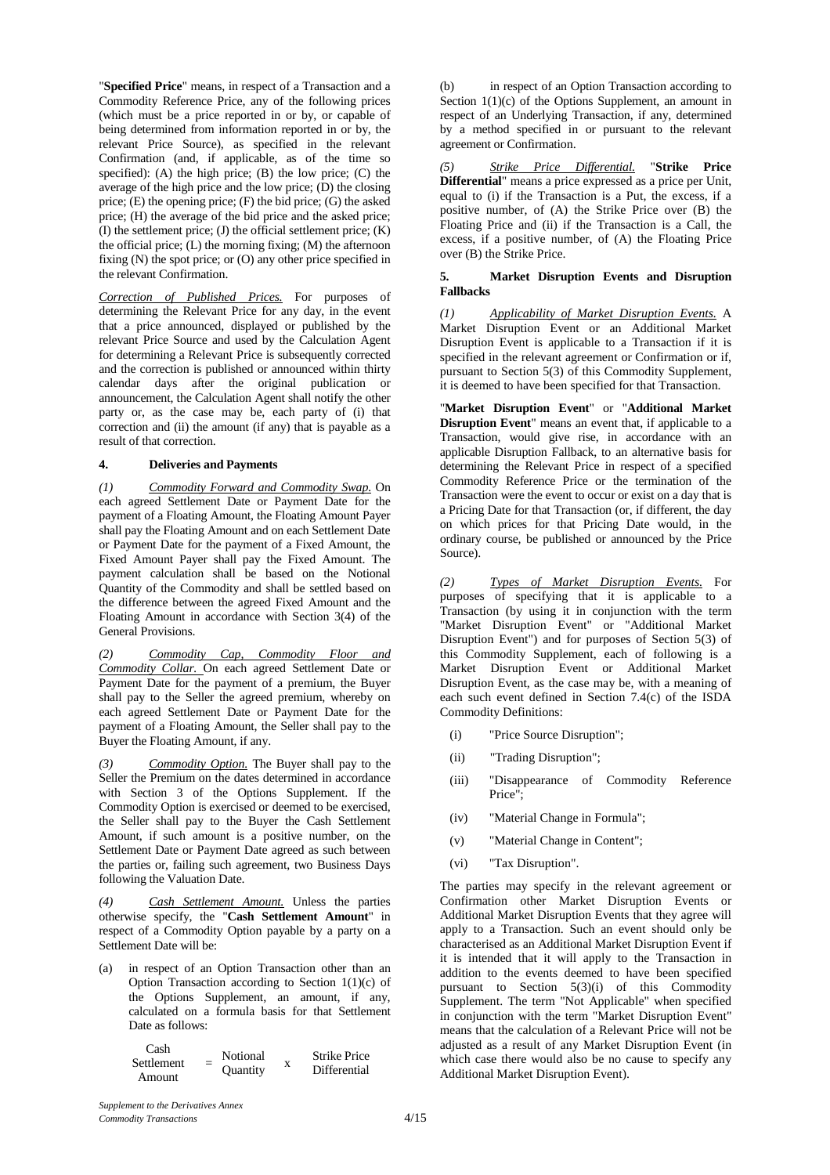"**Specified Price**" means, in respect of a Transaction and a Commodity Reference Price, any of the following prices (which must be a price reported in or by, or capable of being determined from information reported in or by, the relevant Price Source), as specified in the relevant Confirmation (and, if applicable, as of the time so specified): (A) the high price;  $(B)$  the low price;  $(C)$  the average of the high price and the low price; (D) the closing price; (E) the opening price; (F) the bid price; (G) the asked price; (H) the average of the bid price and the asked price;  $(I)$  the settlement price;  $(I)$  the official settlement price;  $(K)$ the official price;  $(L)$  the morning fixing;  $(M)$  the afternoon fixing (N) the spot price; or (O) any other price specified in the relevant Confirmation.

*Correction of Published Prices.* For purposes of determining the Relevant Price for any day, in the event that a price announced, displayed or published by the relevant Price Source and used by the Calculation Agent for determining a Relevant Price is subsequently corrected and the correction is published or announced within thirty calendar days after the original publication or announcement, the Calculation Agent shall notify the other party or, as the case may be, each party of (i) that correction and (ii) the amount (if any) that is payable as a result of that correction.

#### **4. Deliveries and Payments**

*(1) Commodity Forward and Commodity Swap.* On each agreed Settlement Date or Payment Date for the payment of a Floating Amount, the Floating Amount Payer shall pay the Floating Amount and on each Settlement Date or Payment Date for the payment of a Fixed Amount, the Fixed Amount Payer shall pay the Fixed Amount. The payment calculation shall be based on the Notional Quantity of the Commodity and shall be settled based on the difference between the agreed Fixed Amount and the Floating Amount in accordance with Section 3(4) of the General Provisions.

*(2) Commodity Cap, Commodity Floor and Commodity Collar.* On each agreed Settlement Date or Payment Date for the payment of a premium, the Buyer shall pay to the Seller the agreed premium, whereby on each agreed Settlement Date or Payment Date for the payment of a Floating Amount, the Seller shall pay to the Buyer the Floating Amount, if any.

*(3) Commodity Option.* The Buyer shall pay to the Seller the Premium on the dates determined in accordance with Section 3 of the Options Supplement. If the Commodity Option is exercised or deemed to be exercised, the Seller shall pay to the Buyer the Cash Settlement Amount, if such amount is a positive number, on the Settlement Date or Payment Date agreed as such between the parties or, failing such agreement, two Business Days following the Valuation Date.

*(4) Cash Settlement Amount.* Unless the parties otherwise specify, the "**Cash Settlement Amount**" in respect of a Commodity Option payable by a party on a Settlement Date will be:

(a) in respect of an Option Transaction other than an Option Transaction according to Section 1(1)(c) of the Options Supplement, an amount, if any, calculated on a formula basis for that Settlement Date as follows:

| Cash       | Notional        |   | <b>Strike Price</b> |
|------------|-----------------|---|---------------------|
| Settlement |                 | x |                     |
|            | <b>Quantity</b> |   | Differential        |
| Amount     |                 |   |                     |

(b) in respect of an Option Transaction according to Section  $1(1)(c)$  of the Options Supplement, an amount in respect of an Underlying Transaction, if any, determined by a method specified in or pursuant to the relevant agreement or Confirmation.

*(5) Strike Price Differential.* "**Strike Price Differential**" means a price expressed as a price per Unit, equal to (i) if the Transaction is a Put, the excess, if a positive number, of (A) the Strike Price over (B) the Floating Price and (ii) if the Transaction is a Call, the excess, if a positive number, of (A) the Floating Price over (B) the Strike Price.

#### **5. Market Disruption Events and Disruption Fallbacks**

*(1) Applicability of Market Disruption Events.* A Market Disruption Event or an Additional Market Disruption Event is applicable to a Transaction if it is specified in the relevant agreement or Confirmation or if, pursuant to Section 5(3) of this Commodity Supplement, it is deemed to have been specified for that Transaction.

"**Market Disruption Event**" or "**Additional Market Disruption Event**" means an event that, if applicable to a Transaction, would give rise, in accordance with an applicable Disruption Fallback, to an alternative basis for determining the Relevant Price in respect of a specified Commodity Reference Price or the termination of the Transaction were the event to occur or exist on a day that is a Pricing Date for that Transaction (or, if different, the day on which prices for that Pricing Date would, in the ordinary course, be published or announced by the Price Source).

*(2) Types of Market Disruption Events.* For purposes of specifying that it is applicable to a Transaction (by using it in conjunction with the term "Market Disruption Event" or "Additional Market Disruption Event") and for purposes of Section 5(3) of this Commodity Supplement, each of following is a Market Disruption Event or Additional Market Disruption Event, as the case may be, with a meaning of each such event defined in Section 7.4(c) of the ISDA Commodity Definitions:

- (i) "Price Source Disruption";
- (ii) "Trading Disruption";
- (iii) "Disappearance of Commodity Reference Price";
- (iv) "Material Change in Formula";
- (v) "Material Change in Content";
- (vi) "Tax Disruption".

The parties may specify in the relevant agreement or Confirmation other Market Disruption Events or Additional Market Disruption Events that they agree will apply to a Transaction. Such an event should only be characterised as an Additional Market Disruption Event if it is intended that it will apply to the Transaction in addition to the events deemed to have been specified pursuant to Section 5(3)(i) of this Commodity Supplement. The term "Not Applicable" when specified in conjunction with the term "Market Disruption Event" means that the calculation of a Relevant Price will not be adjusted as a result of any Market Disruption Event (in which case there would also be no cause to specify any Additional Market Disruption Event).

 $\sim$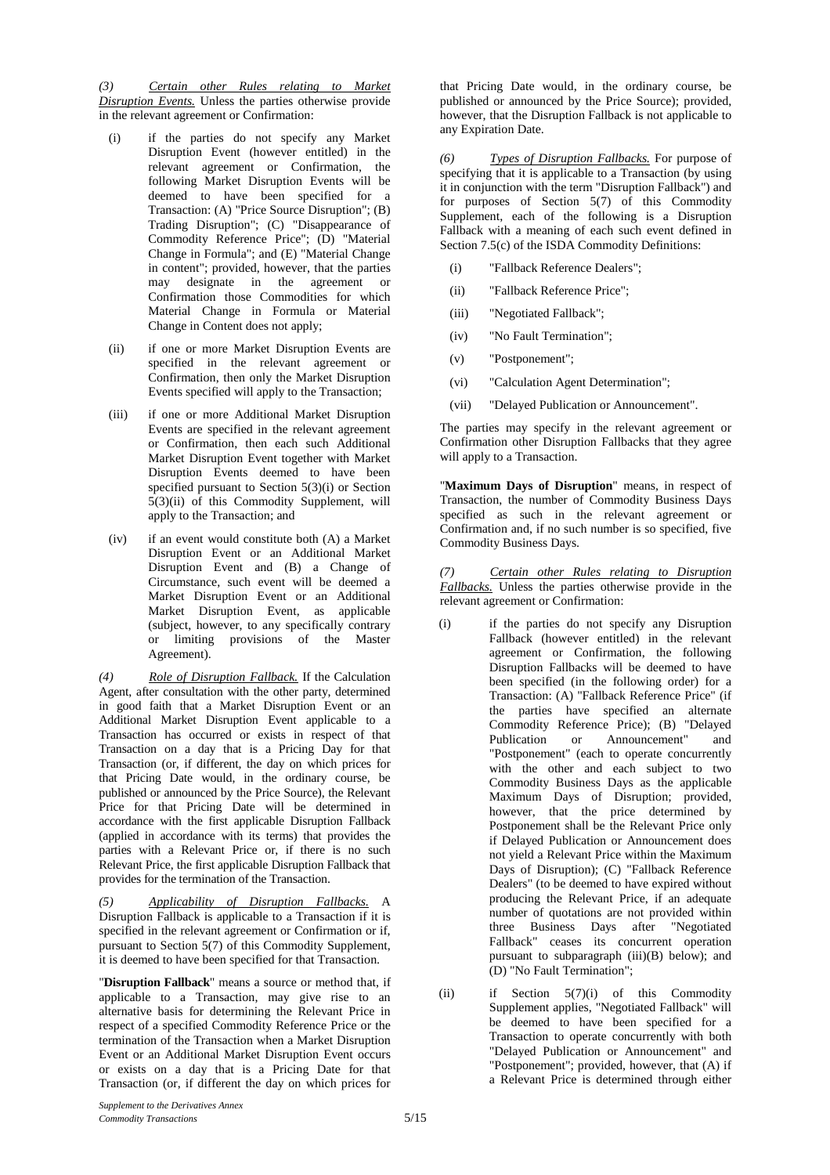*(3) Certain other Rules relating to Market Disruption Events.* Unless the parties otherwise provide in the relevant agreement or Confirmation:

- (i) if the parties do not specify any Market Disruption Event (however entitled) in the relevant agreement or Confirmation, the following Market Disruption Events will be deemed to have been specified for a Transaction: (A) "Price Source Disruption"; (B) Trading Disruption"; (C) "Disappearance of Commodity Reference Price"; (D) "Material Change in Formula"; and (E) "Material Change in content"; provided, however, that the parties may designate in the agreement or Confirmation those Commodities for which Material Change in Formula or Material Change in Content does not apply;
- (ii) if one or more Market Disruption Events are specified in the relevant agreement or Confirmation, then only the Market Disruption Events specified will apply to the Transaction;
- (iii) if one or more Additional Market Disruption Events are specified in the relevant agreement or Confirmation, then each such Additional Market Disruption Event together with Market Disruption Events deemed to have been specified pursuant to Section 5(3)(i) or Section 5(3)(ii) of this Commodity Supplement, will apply to the Transaction; and
- (iv) if an event would constitute both (A) a Market Disruption Event or an Additional Market Disruption Event and (B) a Change of Circumstance, such event will be deemed a Market Disruption Event or an Additional Market Disruption Event, as applicable (subject, however, to any specifically contrary or limiting provisions of the Master Agreement).

*(4) Role of Disruption Fallback.* If the Calculation Agent, after consultation with the other party, determined in good faith that a Market Disruption Event or an Additional Market Disruption Event applicable to a Transaction has occurred or exists in respect of that Transaction on a day that is a Pricing Day for that Transaction (or, if different, the day on which prices for that Pricing Date would, in the ordinary course, be published or announced by the Price Source), the Relevant Price for that Pricing Date will be determined in accordance with the first applicable Disruption Fallback (applied in accordance with its terms) that provides the parties with a Relevant Price or, if there is no such Relevant Price, the first applicable Disruption Fallback that provides for the termination of the Transaction.

*(5) Applicability of Disruption Fallbacks.* A Disruption Fallback is applicable to a Transaction if it is specified in the relevant agreement or Confirmation or if, pursuant to Section 5(7) of this Commodity Supplement, it is deemed to have been specified for that Transaction.

"**Disruption Fallback**" means a source or method that, if applicable to a Transaction, may give rise to an alternative basis for determining the Relevant Price in respect of a specified Commodity Reference Price or the termination of the Transaction when a Market Disruption Event or an Additional Market Disruption Event occurs or exists on a day that is a Pricing Date for that Transaction (or, if different the day on which prices for

that Pricing Date would, in the ordinary course, be published or announced by the Price Source); provided, however, that the Disruption Fallback is not applicable to any Expiration Date.

*(6) Types of Disruption Fallbacks.* For purpose of specifying that it is applicable to a Transaction (by using it in conjunction with the term "Disruption Fallback") and for purposes of Section 5(7) of this Commodity Supplement, each of the following is a Disruption Fallback with a meaning of each such event defined in Section 7.5(c) of the ISDA Commodity Definitions:

- (i) "Fallback Reference Dealers";
- (ii) "Fallback Reference Price";
- (iii) "Negotiated Fallback";
- (iv) "No Fault Termination";
- (v) "Postponement";
- (vi) "Calculation Agent Determination";
- (vii) "Delayed Publication or Announcement".

The parties may specify in the relevant agreement or Confirmation other Disruption Fallbacks that they agree will apply to a Transaction.

"**Maximum Days of Disruption**" means, in respect of Transaction, the number of Commodity Business Days specified as such in the relevant agreement or Confirmation and, if no such number is so specified, five Commodity Business Days.

*(7) Certain other Rules relating to Disruption Fallbacks.* Unless the parties otherwise provide in the relevant agreement or Confirmation:

- (i) if the parties do not specify any Disruption Fallback (however entitled) in the relevant agreement or Confirmation, the following Disruption Fallbacks will be deemed to have been specified (in the following order) for a Transaction: (A) "Fallback Reference Price" (if the parties have specified an alternate Commodity Reference Price); (B) "Delayed Publication or Announcement" and "Postponement" (each to operate concurrently with the other and each subject to two Commodity Business Days as the applicable Maximum Days of Disruption; provided, however, that the price determined by Postponement shall be the Relevant Price only if Delayed Publication or Announcement does not yield a Relevant Price within the Maximum Days of Disruption); (C) "Fallback Reference Dealers" (to be deemed to have expired without producing the Relevant Price, if an adequate number of quotations are not provided within three Business Days after "Negotiated Fallback" ceases its concurrent operation pursuant to subparagraph (iii)(B) below); and (D) "No Fault Termination";
- (ii) if Section 5(7)(i) of this Commodity Supplement applies, "Negotiated Fallback" will be deemed to have been specified for a Transaction to operate concurrently with both "Delayed Publication or Announcement" and "Postponement"; provided, however, that (A) if a Relevant Price is determined through either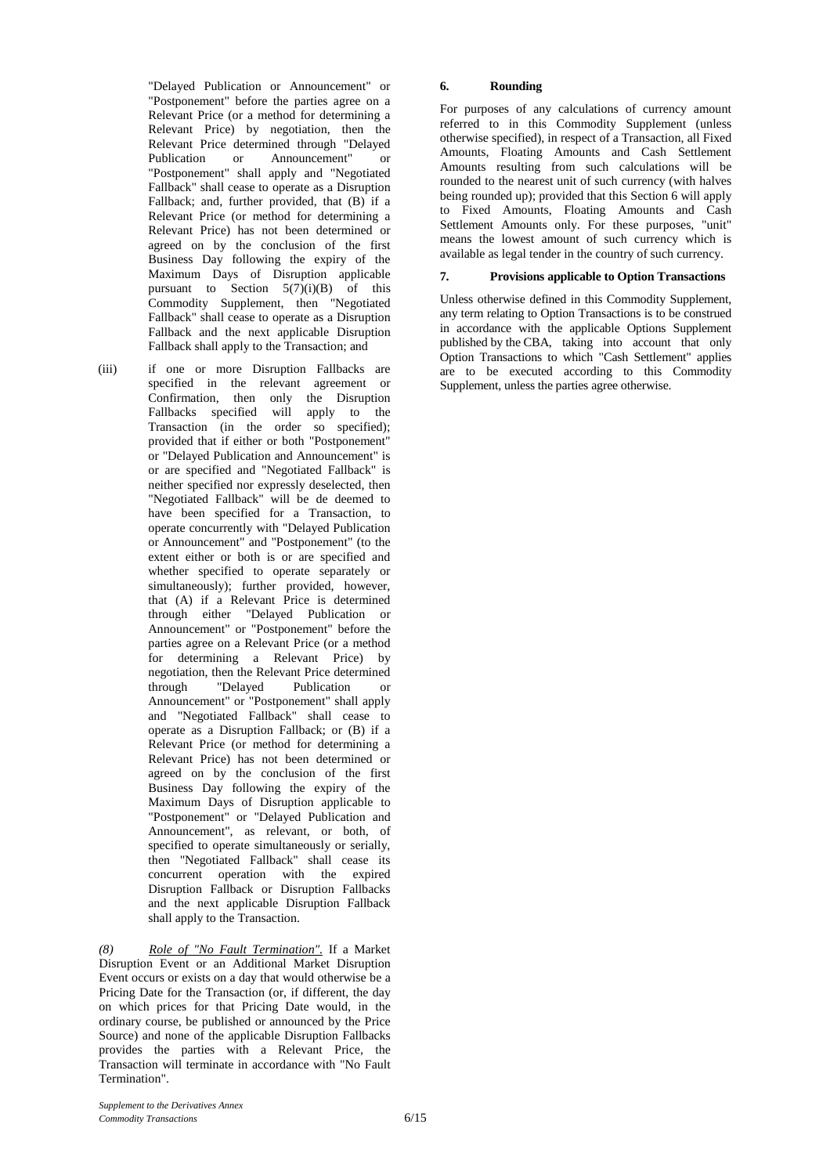"Delayed Publication or Announcement" or "Postponement" before the parties agree on a Relevant Price (or a method for determining a Relevant Price) by negotiation, then the Relevant Price determined through "Delayed<br>Publication or Announcement" or Publication or Announcement" or "Postponement" shall apply and "Negotiated Fallback" shall cease to operate as a Disruption Fallback; and, further provided, that (B) if a Relevant Price (or method for determining a Relevant Price) has not been determined or agreed on by the conclusion of the first Business Day following the expiry of the Maximum Days of Disruption applicable pursuant to Section  $5(7)(i)(B)$  of this Commodity Supplement, then "Negotiated Fallback" shall cease to operate as a Disruption Fallback and the next applicable Disruption Fallback shall apply to the Transaction; and

(iii) if one or more Disruption Fallbacks are specified in the relevant agreement or Confirmation, then only the Disruption Fallbacks specified will apply to the Transaction (in the order so specified); provided that if either or both "Postponement" or "Delayed Publication and Announcement" is or are specified and "Negotiated Fallback" is neither specified nor expressly deselected, then "Negotiated Fallback" will be de deemed to have been specified for a Transaction, to operate concurrently with "Delayed Publication or Announcement" and "Postponement" (to the extent either or both is or are specified and whether specified to operate separately or simultaneously); further provided, however, that (A) if a Relevant Price is determined through either "Delayed Publication or Announcement" or "Postponement" before the parties agree on a Relevant Price (or a method for determining a Relevant Price) by negotiation, then the Relevant Price determined<br>through "Delayed Publication or Publication or Announcement" or "Postponement" shall apply and "Negotiated Fallback" shall cease to operate as a Disruption Fallback; or (B) if a Relevant Price (or method for determining a Relevant Price) has not been determined or agreed on by the conclusion of the first Business Day following the expiry of the Maximum Days of Disruption applicable to "Postponement" or "Delayed Publication and Announcement", as relevant, or both, of specified to operate simultaneously or serially, then "Negotiated Fallback" shall cease its concurrent operation with the expired Disruption Fallback or Disruption Fallbacks and the next applicable Disruption Fallback shall apply to the Transaction.

*(8) Role of "No Fault Termination".* If a Market Disruption Event or an Additional Market Disruption Event occurs or exists on a day that would otherwise be a Pricing Date for the Transaction (or, if different, the day on which prices for that Pricing Date would, in the ordinary course, be published or announced by the Price Source) and none of the applicable Disruption Fallbacks provides the parties with a Relevant Price, the Transaction will terminate in accordance with "No Fault Termination".

#### **6. Rounding**

For purposes of any calculations of currency amount referred to in this Commodity Supplement (unless otherwise specified), in respect of a Transaction, all Fixed Amounts, Floating Amounts and Cash Settlement Amounts resulting from such calculations will be rounded to the nearest unit of such currency (with halves being rounded up); provided that this Section 6 will apply to Fixed Amounts, Floating Amounts and Cash Settlement Amounts only. For these purposes, "unit" means the lowest amount of such currency which is available as legal tender in the country of such currency.

#### **7. Provisions applicable to Option Transactions**

Unless otherwise defined in this Commodity Supplement, any term relating to Option Transactions is to be construed in accordance with the applicable Options Supplement published by the CBA, taking into account that only Option Transactions to which "Cash Settlement" applies are to be executed according to this Commodity Supplement, unless the parties agree otherwise.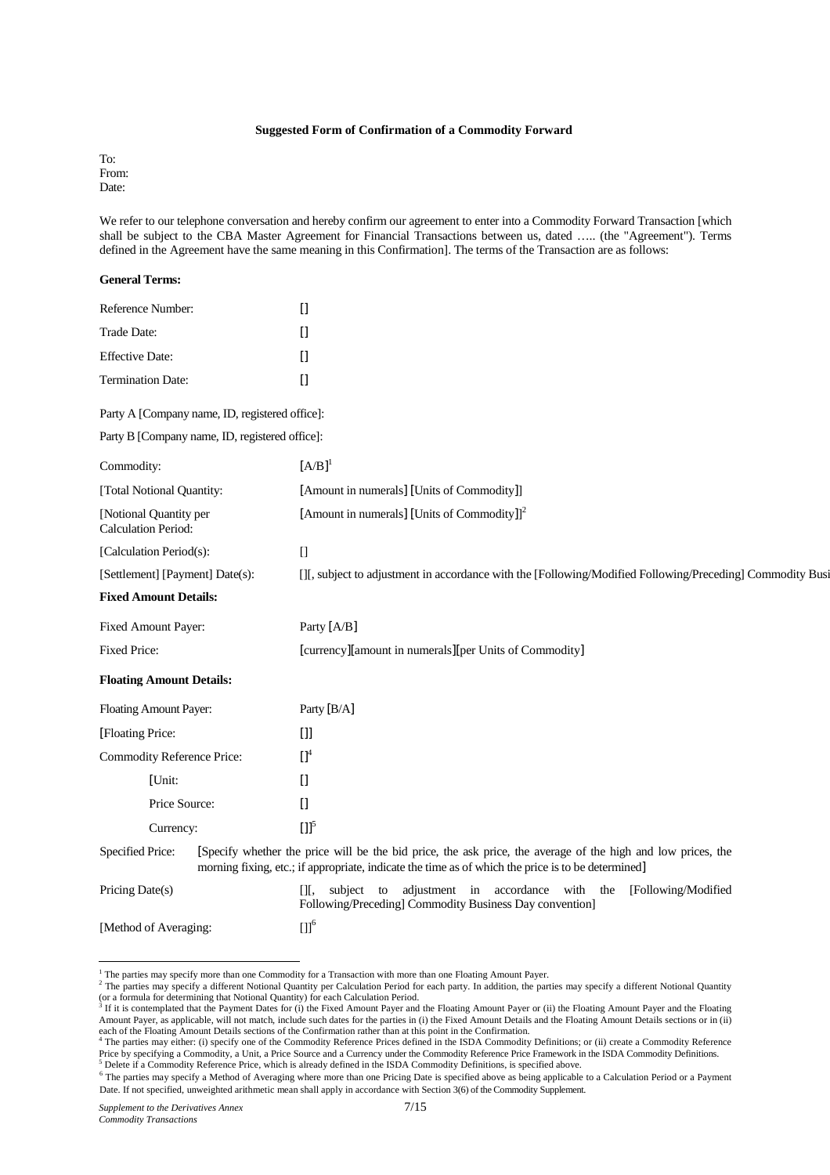#### **Suggested Form of Confirmation of a Commodity Forward**

To: From: Date:

We refer to our telephone conversation and hereby confirm our agreement to enter into a Commodity Forward Transaction [which shall be subject to the CBA Master Agreement for Financial Transactions between us, dated ….. (the "Agreement"). Terms defined in the Agreement have the same meaning in this Confirmation]. The terms of the Transaction are as follows:

| <b>General Terms:</b>                         |                                                |                                                                                                                                                                                                                    |
|-----------------------------------------------|------------------------------------------------|--------------------------------------------------------------------------------------------------------------------------------------------------------------------------------------------------------------------|
| Reference Number:                             |                                                | Ū                                                                                                                                                                                                                  |
| Trade Date:                                   |                                                | $\begin{bmatrix} 1 \end{bmatrix}$                                                                                                                                                                                  |
| <b>Effective Date:</b>                        |                                                | $[] \centering \includegraphics[width=0.47\textwidth]{images/TrDiM-Architecture.png} \caption{The 3D (top) and 4D (bottom) are shown in the left and right.} \label{TrDiM-Architecture}$                           |
| <b>Termination Date:</b>                      |                                                | $[] \centering \includegraphics[width=0.47\textwidth]{images/TrDiM-Architecture.png} \caption{The 3D (top) and 4D (bottom) are shown in the left and right.} \label{TrDiM-Architecture}$                           |
|                                               | Party A [Company name, ID, registered office]: |                                                                                                                                                                                                                    |
|                                               | Party B [Company name, ID, registered office]: |                                                                                                                                                                                                                    |
| Commodity:                                    |                                                | $[A/B]$ <sup>1</sup>                                                                                                                                                                                               |
| [Total Notional Quantity:                     |                                                | [Amount in numerals] [Units of Commodity]]                                                                                                                                                                         |
| [Notional Quantity per<br>Calculation Period: |                                                | [Amount in numerals] [Units of Commodity]] <sup>2</sup>                                                                                                                                                            |
| [Calculation Period(s):                       |                                                | $\begin{bmatrix} 1 \\ 2 \end{bmatrix}$                                                                                                                                                                             |
| [Settlement] [Payment] Date(s):               |                                                | [J], subject to adjustment in accordance with the [Following/Modified Following/Preceding] Commodity Busi                                                                                                          |
| <b>Fixed Amount Details:</b>                  |                                                |                                                                                                                                                                                                                    |
| Fixed Amount Payer:                           |                                                | Party [A/B]                                                                                                                                                                                                        |
| Fixed Price:                                  |                                                | [currency][amount in numerals][per Units of Commodity]                                                                                                                                                             |
| <b>Floating Amount Details:</b>               |                                                |                                                                                                                                                                                                                    |
| Floating Amount Payer:                        |                                                | Party [B/A]                                                                                                                                                                                                        |
| [Floating Price:                              |                                                | $[]$                                                                                                                                                                                                               |
| <b>Commodity Reference Price:</b>             |                                                | $\prod^4$                                                                                                                                                                                                          |
| [Unit:                                        |                                                | $[] \centering \includegraphics[width=0.47\textwidth]{images/TrDiM-Architecture.png} \caption{The 3D (top) and 4D (bottom) are shown in the left and right.} \label{TrDiM-Architecture}$                           |
| Price Source:                                 |                                                | $[$                                                                                                                                                                                                                |
| Currency:                                     |                                                | $[1]$ <sup>5</sup>                                                                                                                                                                                                 |
| Specified Price:                              |                                                | [Specify whether the price will be the bid price, the ask price, the average of the high and low prices, the<br>morning fixing, etc.; if appropriate, indicate the time as of which the price is to be determined] |
| Pricing Date(s)                               |                                                | adjustment in accordance with the<br>[Following/Modified<br>subject to<br>Ш,<br>Following/Preceding] Commodity Business Day convention]                                                                            |
| [Method of Averaging:                         |                                                | $[1]$ <sup>6</sup>                                                                                                                                                                                                 |
|                                               |                                                |                                                                                                                                                                                                                    |
|                                               |                                                |                                                                                                                                                                                                                    |

<sup>&</sup>lt;sup>1</sup> The parties may specify more than one Commodity for a Transaction with more than one Floating Amount Payer.

<sup>&</sup>lt;sup>2</sup> The parties may specify a different Notional Quantity per Calculation Period for each party. In addition, the parties may specify a different Notional Quantity (or a formula for determining that Notional Quantity) for each Calculation Period.<br><sup>3</sup> If it is contemplated that the Payment Dates for (i) the Fixed Amount Payer and the Floating Amount Payer or (ii) the Floating Amount P

Amount Payer, as applicable, will not match, include such dates for the parties in (i) the Fixed Amount Details and the Floating Amount Details sections or in (ii) each of the Floating Amount Details sections of the Confirmation rather than at this point in the Confirmation.<br><sup>4</sup> The parties may either: (i) specify one of the Commodity Reference Prices defined in the ISDA Commodity De

Price by specifying a Commodity, a Unit, a Price Source and a Currency under the Commodity Reference Price Framework in the ISDA Commodity Definitions.  $<sup>5</sup>$  Delete if a Commodity Reference Price, which is already defined in the ISDA Commodity Definitions, is specified above.</sup>

<sup>6</sup> The parties may specify a Method of Averaging where more than one Pricing Date is specified above as being applicable to a Calculation Period or a Payment Date. If not specified, unweighted arithmetic mean shall apply in accordance with Section 3(6) of the Commodity Supplement.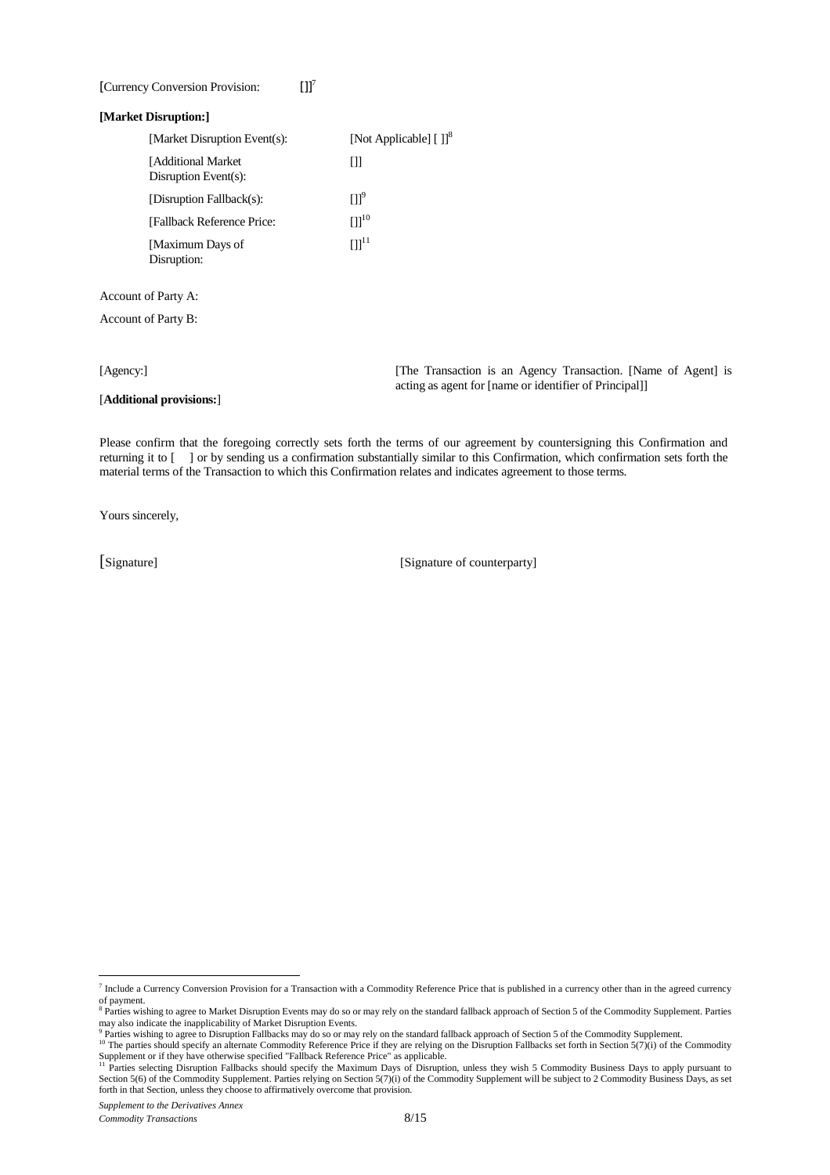### [Currency Conversion Provision: []<sup>7</sup>

#### **[Market Disruption:]**

| [Market Disruption Event(s):                | [Not Applicable] $[ ]]$ <sup>8</sup> |
|---------------------------------------------|--------------------------------------|
| [Additional Market]<br>Disruption Event(s): | Ш                                    |
| [Disruption Fallback(s):                    | Пľ                                   |
| [Fallback Reference Price:                  | $[1]^{10}$                           |
| [Maximum Days of<br>Disruption:             | $[1]$ <sup>11</sup>                  |

Account of Party A:

Account of Party B:

[**Additional provisions:**]

[Agency:] [The Transaction is an Agency Transaction. [Name of Agent] is acting as agent for [name or identifier of Principal]]

Please confirm that the foregoing correctly sets forth the terms of our agreement by countersigning this Confirmation and returning it to [ ] or by sending us a confirmation substantially similar to this Confirmation, which confirmation sets forth the material terms of the Transaction to which this Confirmation relates and indicates agreement to those terms.

Yours sincerely,

[Signature] [Signature of counterparty]

<sup>&</sup>lt;sup>7</sup> Include a Currency Conversion Provision for a Transaction with a Commodity Reference Price that is published in a currency other than in the agreed currency of payment.

<sup>&</sup>lt;sup>8</sup> Parties wishing to agree to Market Disruption Events may do so or may rely on the standard fallback approach of Section 5 of the Commodity Supplement. Parties may also indicate the inapplicability of Market Disruption Events.<br><sup>9</sup> Parties wishing to agree to Disruption Fallbacks may do so or may rely on the standard fallback approach of Section 5 of the Commodity Supplement.

The parties should specify an alternate Commodity Reference Price if they are relying on the Disruption Fallbacks set forth in Section 5(7)(i) of the Commodity  $\frac{10}{10}$ . The parties should specify an alternate Commodit Supplement or if they have otherwise specified "Fallback Reference Price" as applicable.<br><sup>11</sup> Parties selecting Disruption Fallbacks should specify the Maximum Days of Disruption, unless they wish 5 Commodity Business Days

Section 5(6) of the Commodity Supplement. Parties relying on Section 5(7)(i) of the Commodity Supplement will be subject to 2 Commodity Business Days, as set forth in that Section, unless they choose to affirmatively overcome that provision.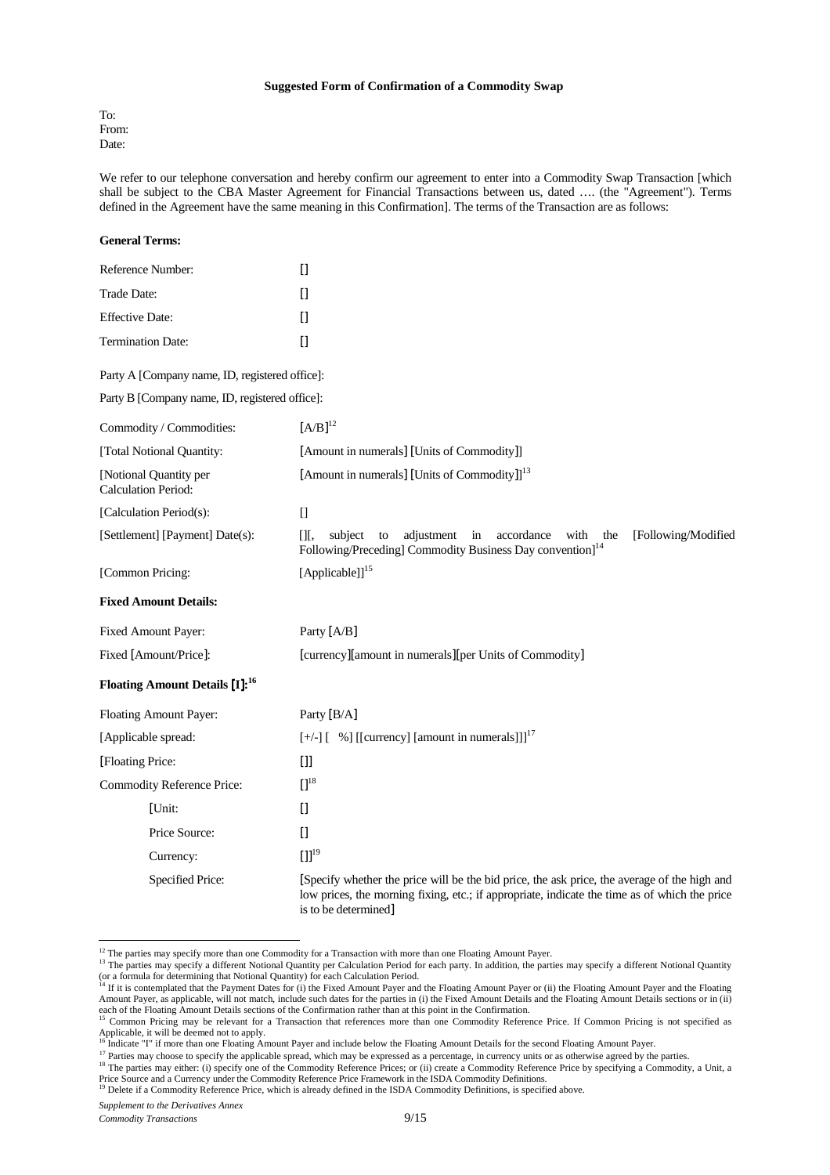#### **Suggested Form of Confirmation of a Commodity Swap**

To: From: Date:

We refer to our telephone conversation and hereby confirm our agreement to enter into a Commodity Swap Transaction [which shall be subject to the CBA Master Agreement for Financial Transactions between us, dated …. (the "Agreement"). Terms defined in the Agreement have the same meaning in this Confirmation]. The terms of the Transaction are as follows:

| <b>General Terms:</b>                                |                                                                                                                                                                                                                                                                                                                                                                      |
|------------------------------------------------------|----------------------------------------------------------------------------------------------------------------------------------------------------------------------------------------------------------------------------------------------------------------------------------------------------------------------------------------------------------------------|
| Reference Number:                                    | $\Box$                                                                                                                                                                                                                                                                                                                                                               |
| Trade Date:                                          | $[] \centering \includegraphics[width=0.47\textwidth]{images/TrDiM-Architecture.png} \caption{The 3D (top) and 4D (bottom) are shown in the left and right.} \label{TrDiM-Architecture}$                                                                                                                                                                             |
| <b>Effective Date:</b>                               | Ū                                                                                                                                                                                                                                                                                                                                                                    |
| <b>Termination Date:</b>                             | $[] \centering \includegraphics[width=0.47\textwidth]{images/TrDiM-Architecture.png} \caption{The 3D (top) and 4D (bottom) are shown in the left and right.} \label{TrDiM-Architecture}$                                                                                                                                                                             |
| Party A [Company name, ID, registered office]:       |                                                                                                                                                                                                                                                                                                                                                                      |
| Party B [Company name, ID, registered office]:       |                                                                                                                                                                                                                                                                                                                                                                      |
| Commodity / Commodities:                             | $[A/B]^{12}$                                                                                                                                                                                                                                                                                                                                                         |
| [Total Notional Quantity:                            | [Amount in numerals] [Units of Commodity]]                                                                                                                                                                                                                                                                                                                           |
| [Notional Quantity per<br><b>Calculation Period:</b> | [Amount in numerals] [Units of Commodity]] $13$                                                                                                                                                                                                                                                                                                                      |
| [Calculation Period(s):                              | $\Box$                                                                                                                                                                                                                                                                                                                                                               |
| [Settlement] [Payment] Date(s):                      | subject<br>adjustment<br>in<br>accordance<br>with<br>[Following/Modified<br>$[$ [ $],$<br>to<br>the<br>Following/Preceding] Commodity Business Day convention] <sup>14</sup>                                                                                                                                                                                         |
| [Common Pricing:                                     | [Applicable]] $15$                                                                                                                                                                                                                                                                                                                                                   |
| <b>Fixed Amount Details:</b>                         |                                                                                                                                                                                                                                                                                                                                                                      |
| Fixed Amount Payer:                                  | Party [A/B]                                                                                                                                                                                                                                                                                                                                                          |
| Fixed [Amount/Price]:                                | [currency][amount in numerals][per Units of Commodity]                                                                                                                                                                                                                                                                                                               |
| Floating Amount Details [I]: <sup>16</sup>           |                                                                                                                                                                                                                                                                                                                                                                      |
| Floating Amount Payer:                               | Party [B/A]                                                                                                                                                                                                                                                                                                                                                          |
| [Applicable spread:                                  | $[+/]-$ ] $[$ %] [[currency] [amount in numerals]]] <sup>17</sup>                                                                                                                                                                                                                                                                                                    |
| [Floating Price:                                     | $[]$                                                                                                                                                                                                                                                                                                                                                                 |
| Commodity Reference Price:                           | $\prod$ <sup>18</sup>                                                                                                                                                                                                                                                                                                                                                |
| [Unit:                                               | $[] \centering \includegraphics[width=0.47\textwidth]{images/TransY_1.png} \caption{The first two different values of $100$ K, $100$ K, $100$ K, $100$ K, $100$ K, $100$ K, $100$ K, $100$ K, $100$ K, $100$ K, $100$ K, $100$ K, $100$ K, $100$ K, $100$ K, $100$ K, $100$ K, $100$ K, $100$ K, $100$ K, $100$ K, $100$ K, $100$ K, $100$ K, $100$ K, $100$ K, $10$ |
| Price Source:                                        | $\prod$                                                                                                                                                                                                                                                                                                                                                              |
| Currency:                                            | $[1]^{19}$                                                                                                                                                                                                                                                                                                                                                           |
| Specified Price:                                     | [Specify whether the price will be the bid price, the ask price, the average of the high and<br>low prices, the morning fixing, etc.; if appropriate, indicate the time as of which the price<br>is to be determined]                                                                                                                                                |

 $12$  The parties may specify more than one Commodity for a Transaction with more than one Floating Amount Payer.

*Supplement to the Derivatives Annex* 

<sup>&</sup>lt;sup>13</sup> The parties may specify a different Notional Quantity per Calculation Period for each party. In addition, the parties may specify a different Notional Quantity (or a formula for determining that Notional Quantity) for each Calculation Period.<br><sup>14</sup> If it is contemplated that the Payment Dates for (i) the Fixed Amount Payer and the Floating Amount Payer or (ii) the Floating Amount

Amount Payer, as applicable, will not match, include such dates for the parties in (i) the Fixed Amount Details and the Floating Amount Details sections or in (ii)

each of the Floating Amount Details sections of the Confirmation rather than at this point in the Confirmation.<br><sup>15</sup> Common Pricing may be relevant for a Transaction that references more than one Commodity Reference Price. Applicable, it will be deemed not to apply.

<sup>&</sup>lt;sup>6</sup> Indicate "I" if more than one Floating Amount Payer and include below the Floating Amount Details for the second Floating Amount Payer.

<sup>&</sup>lt;sup>17</sup> Parties may choose to specify the applicable spread, which may be expressed as a percentage, in currency units or as otherwise agreed by the parties.

<sup>&</sup>lt;sup>18</sup> The parties may either: (i) specify one of the Commodity Reference Prices; or (ii) create a Commodity Reference Price by specifying a Commodity, a Unit, a Price Source and a Currency under the Commodity Reference Price Framework in the ISDA Commodity Definitions.

<sup>&</sup>lt;sup>19</sup> Delete if a Commodity Reference Price, which is already defined in the ISDA Commodity Definitions, is specified above.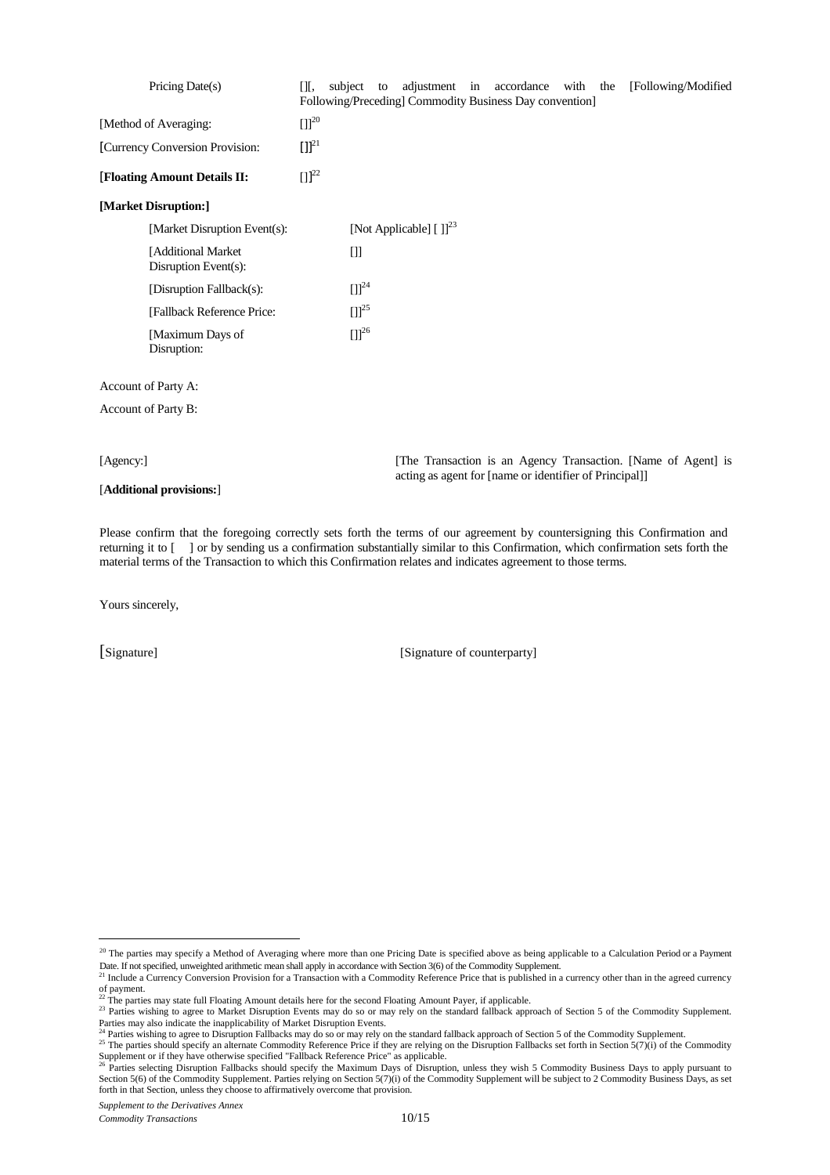| Pricing Date(s)                            | [Following/Modified<br>adjustment in accordance with the<br>ΠГ,<br>subject<br>to<br>Following/Preceding] Commodity Business Day convention] |
|--------------------------------------------|---------------------------------------------------------------------------------------------------------------------------------------------|
| [Method of Averaging:                      | $[1]^{20}$                                                                                                                                  |
| [Currency Conversion Provision:            | $[1]^{21}$                                                                                                                                  |
| [Floating Amount Details II:               | $[1]^{22}$                                                                                                                                  |
| [Market Disruption:]                       |                                                                                                                                             |
| [Market Disruption Event(s):               | [Not Applicable] $[ ]]^{23}$                                                                                                                |
| [Additional Market<br>Disruption Event(s): | $[]$                                                                                                                                        |
| [Disruption Fallback(s):                   | $[1]^{24}$                                                                                                                                  |
| [Fallback Reference Price:                 | $[1]^{25}$                                                                                                                                  |
| [Maximum Days of<br>Disruption:            | $[1]^{26}$                                                                                                                                  |
| Account of Party A:                        |                                                                                                                                             |
| Account of Party B:                        |                                                                                                                                             |
| [Agency:]                                  | [The Transaction is an Agency Transaction. [Name of Agent] is                                                                               |
| [Additional provisions:]                   | acting as agent for [name or identifier of Principal]]                                                                                      |

Please confirm that the foregoing correctly sets forth the terms of our agreement by countersigning this Confirmation and returning it to [ ] or by sending us a confirmation substantially similar to this Confirmation, which confirmation sets forth the material terms of the Transaction to which this Confirmation relates and indicates agreement to those terms.

Yours sincerely,

[Signature] [Signature of counterparty]

 $20$  The parties may specify a Method of Averaging where more than one Pricing Date is specified above as being applicable to a Calculation Period or a Payment Date. If not specified, unweighted arithmetic mean shall apply in accordance with Section 3(6) of the Commodity Supplement.<br><sup>21</sup> Include a Currency Conversion Provision for a Transaction with a Commodity Reference Price th

of payment.<br><sup>22</sup> The parties may state full Floating Amount details here for the second Floating Amount Payer, if applicable.

<sup>&</sup>lt;sup>23</sup> Parties wishing to agree to Market Disruption Events may do so or may rely on the standard fallback approach of Section 5 of the Commodity Supplement. Parties may also indicate the inapplicability of Market Disruption Events.<br><sup>24</sup> Parties wishing to agree to Disruption Fallbacks may do so or may rely on the standard fallback approach of Section 5 of the Commodity Supplem

<sup>&</sup>lt;sup>25</sup> The parties should specify an alternate Commodity Reference Price if they are relying on the Disruption Fallbacks set forth in Section 5(7)(i) of the Commodity  $\frac{25}{\pi}$ Supplement or if they have otherwise specified "Fallback Reference Price" as applicable.<br><sup>26</sup> Parties selecting Disruption Fallbacks should specify the Maximum Days of Disruption, unless they wish 5 Commodity Business Days

Section 5(6) of the Commodity Supplement. Parties relying on Section 5(7)(i) of the Commodity Supplement will be subject to 2 Commodity Business Days, as set forth in that Section, unless they choose to affirmatively overcome that provision.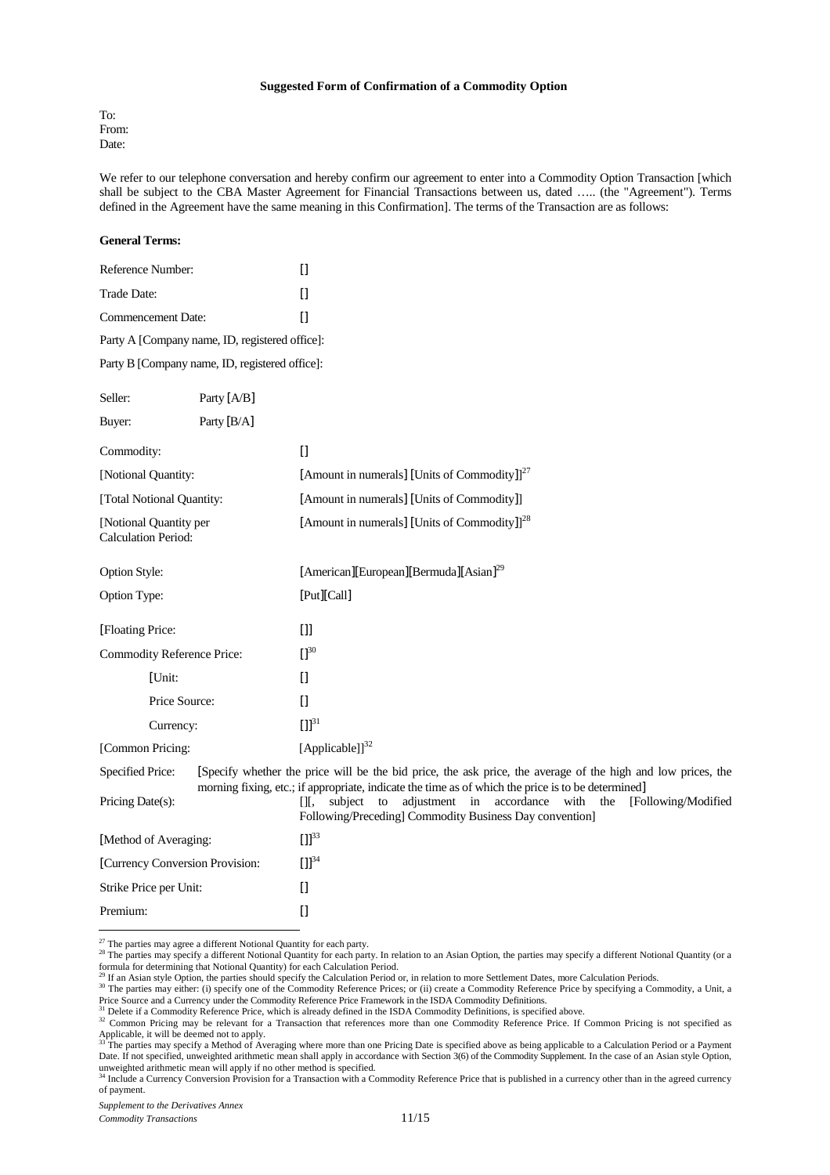#### **Suggested Form of Confirmation of a Commodity Option**

To: From: Date:

We refer to our telephone conversation and hereby confirm our agreement to enter into a Commodity Option Transaction [which shall be subject to the CBA Master Agreement for Financial Transactions between us, dated ….. (the "Agreement"). Terms defined in the Agreement have the same meaning in this Confirmation]. The terms of the Transaction are as follows:

#### **General Terms:**

| Reference Number:                                    |                                                | $[$                                                                                                                                                                                                                |
|------------------------------------------------------|------------------------------------------------|--------------------------------------------------------------------------------------------------------------------------------------------------------------------------------------------------------------------|
| Trade Date:                                          |                                                | $\prod$                                                                                                                                                                                                            |
| Commencement Date:                                   |                                                | $\Box$                                                                                                                                                                                                             |
|                                                      | Party A [Company name, ID, registered office]: |                                                                                                                                                                                                                    |
|                                                      | Party B [Company name, ID, registered office]: |                                                                                                                                                                                                                    |
| Seller:                                              | Party [A/B]                                    |                                                                                                                                                                                                                    |
| Buyer:                                               | Party [B/A]                                    |                                                                                                                                                                                                                    |
| Commodity:                                           |                                                | $\Box$                                                                                                                                                                                                             |
| [Notional Quantity:                                  |                                                | [Amount in numerals] [Units of Commodity]] <sup>27</sup>                                                                                                                                                           |
| [Total Notional Quantity:                            |                                                | [Amount in numerals] [Units of Commodity]]                                                                                                                                                                         |
| [Notional Quantity per<br><b>Calculation Period:</b> |                                                | [Amount in numerals] [Units of Commodity]] <sup>28</sup>                                                                                                                                                           |
| Option Style:                                        |                                                | [American][European][Bermuda][Asian] <sup>29</sup>                                                                                                                                                                 |
| Option Type:                                         |                                                | [Put][Call]                                                                                                                                                                                                        |
| [Floating Price:                                     |                                                | $[]$                                                                                                                                                                                                               |
|                                                      | <b>Commodity Reference Price:</b>              | $\prod^{30}$                                                                                                                                                                                                       |
| [Unit:                                               |                                                | $\prod$                                                                                                                                                                                                            |
|                                                      | Price Source:                                  | $\prod$                                                                                                                                                                                                            |
|                                                      | Currency:                                      | $[1]^{31}$                                                                                                                                                                                                         |
| [Common Pricing:                                     |                                                | [Applicable]] $^{32}$                                                                                                                                                                                              |
| <b>Specified Price:</b>                              |                                                | [Specify whether the price will be the bid price, the ask price, the average of the high and low prices, the<br>morning fixing, etc.; if appropriate, indicate the time as of which the price is to be determined] |
| Pricing Date(s):                                     |                                                | the [Following/Modified<br>[I], subject to adjustment in accordance with<br>Following/Preceding] Commodity Business Day convention]                                                                                |
| [Method of Averaging:                                |                                                | $[1]^{33}$                                                                                                                                                                                                         |
|                                                      | [Currency Conversion Provision:                | $[1]^{34}$                                                                                                                                                                                                         |
| Strike Price per Unit:                               |                                                | $\prod$                                                                                                                                                                                                            |
| Premium:                                             |                                                | $\prod$                                                                                                                                                                                                            |

<sup>27</sup> The parties may agree a different Notional Quantity for each party.

Price Source and a Currency under the Commodity Reference Price Framework in the ISDA Commodity Definitions. <sup>31</sup> Delete if a Commodity Reference Price, which is already defined in the ISDA Commodity Definitions, is specified above.

<sup>&</sup>lt;sup>28</sup> The parties may agree a university a different Notional Quantity for each party. In relation to an Asian Option, the parties may specify a different Notional Quantity (or a <sup>28</sup> The parties may specify a different Not formula for determining that Notional Quantity) for each Calculation Period.<br><sup>29</sup> If an Asian style Option, the parties should specify the Calculation Period or, in relation to more Settlement Dates, more Calculation Perio

<sup>&</sup>lt;sup>30</sup> The parties may either: (i) specify one of the Commodity Reference Prices; or (ii) create a Commodity Reference Price by specifying a Commodity, a Unit, a

<sup>&</sup>lt;sup>32</sup> Common Pricing may be relevant for a Transaction that references more than one Commodity Reference Price. If Common Pricing is not specified as

Applicable, it will be deemed not to apply.<br><sup>33</sup> The parties may specify a Method of Averaging where more than one Pricing Date is specified above as being applicable to a Calculation Period or a Payment Date. If not specified, unweighted arithmetic mean shall apply in accordance with Section 3(6) of the Commodity Supplement. In the case of an Asian style Option, unweighted arithmetic mean will apply if no other method is specified.<br><sup>34</sup> Include a Currency Conversion Provision for a Transaction with a Commodity Reference Price that is published in a currency other than in the agree

of payment.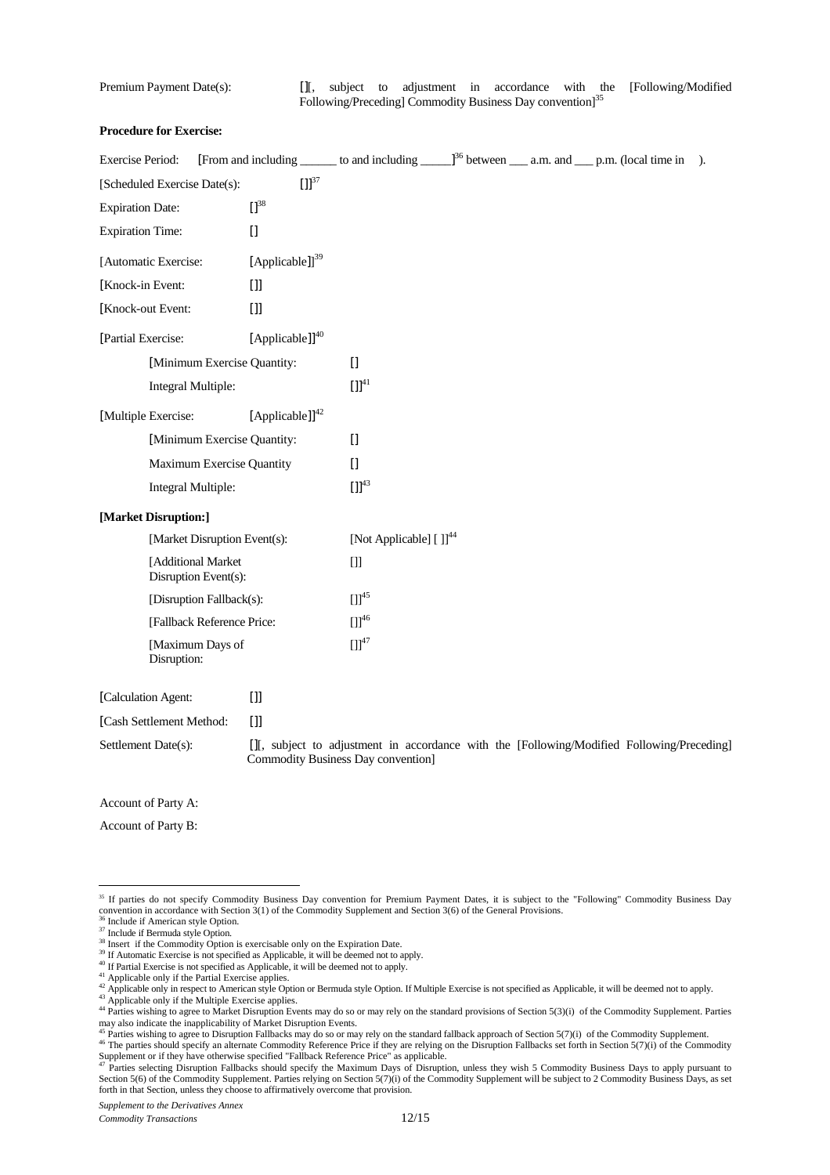Premium Payment Date(s): [[, subject to adjustment in accordance with the [Following/Modified] Following/Preceding] Commodity Business Day convention<sup>135</sup>

## **Procedure for Exercise:**

| <b>Exercise Period:</b>  |                                            |                              | [From and including _______ to and including ______] <sup>36</sup> between _____ a.m. and _____ p.m. (local time in              |  | $\lambda$ . |
|--------------------------|--------------------------------------------|------------------------------|----------------------------------------------------------------------------------------------------------------------------------|--|-------------|
|                          | [Scheduled Exercise Date(s):               | $\left[\right] \right]^{37}$ |                                                                                                                                  |  |             |
| <b>Expiration Date:</b>  |                                            | $\prod^{38}$                 |                                                                                                                                  |  |             |
| <b>Expiration Time:</b>  |                                            | $[$                          |                                                                                                                                  |  |             |
| [Automatic Exercise:     |                                            | [Applicable]] $^{39}$        |                                                                                                                                  |  |             |
| [Knock-in Event:         |                                            | $[]$                         |                                                                                                                                  |  |             |
| [Knock-out Event:        |                                            | $[]$                         |                                                                                                                                  |  |             |
| [Partial Exercise:       |                                            | [Applicable]] $^{40}$        |                                                                                                                                  |  |             |
|                          | [Minimum Exercise Quantity:                |                              | $[$                                                                                                                              |  |             |
|                          | Integral Multiple:                         |                              | $\left[ \prod^{41} \right.$                                                                                                      |  |             |
| [Multiple Exercise:      |                                            | [Applicable]] <sup>42</sup>  |                                                                                                                                  |  |             |
|                          | [Minimum Exercise Quantity:                |                              | $\Box$                                                                                                                           |  |             |
|                          | Maximum Exercise Quantity                  |                              | $[$                                                                                                                              |  |             |
|                          | Integral Multiple:                         |                              | $[1]^{43}$                                                                                                                       |  |             |
| [Market Disruption:]     |                                            |                              |                                                                                                                                  |  |             |
|                          | [Market Disruption Event(s):               |                              | [Not Applicable] []] <sup>44</sup>                                                                                               |  |             |
|                          | [Additional Market<br>Disruption Event(s): |                              | $[]$                                                                                                                             |  |             |
|                          | [Disruption Fallback(s):                   |                              | $[1]^{45}$                                                                                                                       |  |             |
|                          | [Fallback Reference Price:                 |                              | $[1]^{46}$                                                                                                                       |  |             |
|                          | [Maximum Days of<br>Disruption:            |                              | $[1]^{47}$                                                                                                                       |  |             |
| [Calculation Agent:      |                                            | $[]$                         |                                                                                                                                  |  |             |
| [Cash Settlement Method: |                                            | $[]$                         |                                                                                                                                  |  |             |
| Settlement Date(s):      |                                            |                              | [J], subject to adjustment in accordance with the [Following/Modified Following/Preceding]<br>Commodity Business Day convention] |  |             |

Account of Party A:

Account of Party B:

<sup>&</sup>lt;sup>35</sup> If parties do not specify Commodity Business Day convention for Premium Payment Dates, it is subject to the "Following" Commodity Business Day convention in accordance with Section 3(1) of the Commodity Supplement and Section 3(6) of the General Provisions.

<sup>&</sup>lt;sup>36</sup> Include if American style Option.

<sup>&</sup>lt;sup>37</sup> Include if Bermuda style Option.

<sup>&</sup>lt;sup>38</sup> Insert if the Commodity Option is exercisable only on the Expiration Date.

<sup>&</sup>lt;sup>39</sup> If Automatic Exercise is not specified as Applicable, it will be deemed not to apply.

<sup>&</sup>lt;sup>40</sup> If Partial Exercise is not specified as Applicable, it will be deemed not to apply.

<sup>&</sup>lt;sup>41</sup> Applicable only if the Partial Exercise applies.

 $42$  Applicable only in respect to American style Option or Bermuda style Option. If Multiple Exercise is not specified as Applicable, it will be deemed not to apply. <sup>43</sup> Applicable only if the Multiple Exercise applies.

<sup>&</sup>lt;sup>44</sup> Parties wishing to agree to Market Disruption Events may do so or may rely on the standard provisions of Section 5(3)(i) of the Commodity Supplement. Parties

may also indicate the inapplicability of Market Disruption Events.<br><sup>45</sup> Parties wishing to agree to Disruption Fallbacks may do so or may rely on the standard fallback approach of Section 5(7)(i) of the Commodity Supplemen  $46$  The parties should specify an alternate Commodity Reference Price if they are relying on the Disruption Fallbacks set forth in Section 5(7)(i) of the Commodity

Supplement or if they have otherwise specified "Fallback Reference Price" as applicable.<br><sup>47</sup> Parties selecting Disruption Fallbacks should specify the Maximum Days of Disruption, unless they wish 5 Commodity Business Days Section 5(6) of the Commodity Supplement. Parties relying on Section 5(7)(i) of the Commodity Supplement will be subject to 2 Commodity Business Days, as set forth in that Section, unless they choose to affirmatively overcome that provision.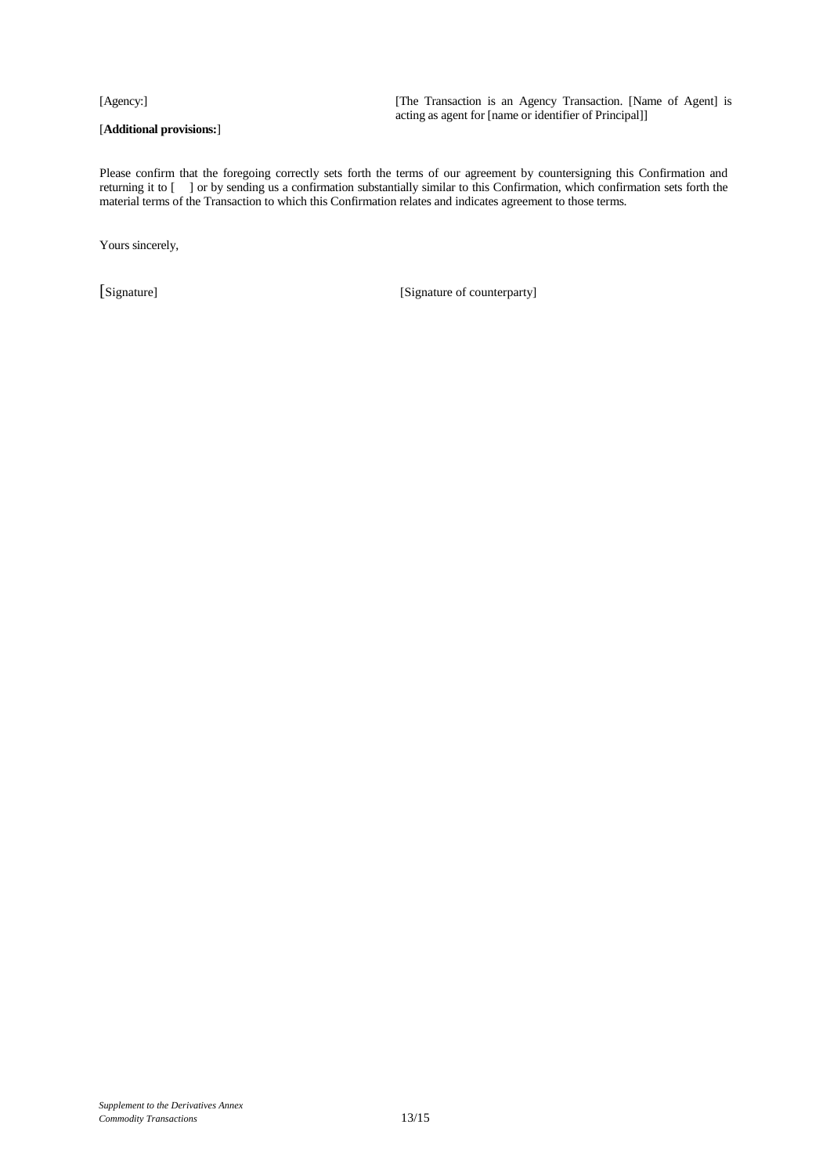### [**Additional provisions:**]

[Agency:] [The Transaction is an Agency Transaction. [Name of Agent] is acting as agent for [name or identifier of Principal]]

Please confirm that the foregoing correctly sets forth the terms of our agreement by countersigning this Confirmation and returning it to [ ] or by sending us a confirmation substantially similar to this Confirmation, which confirmation sets forth the material terms of the Transaction to which this Confirmation relates and indicates agreement to those terms.

Yours sincerely,

[Signature] [Signature of counterparty]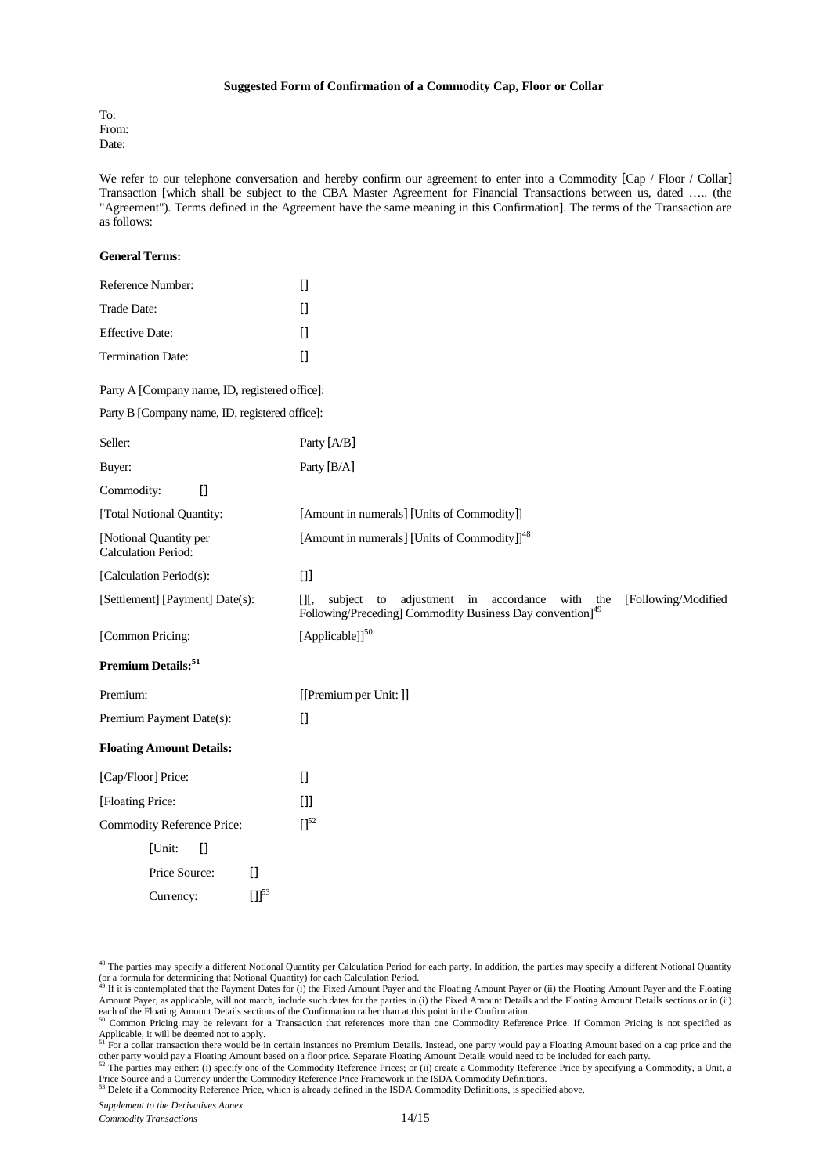#### **Suggested Form of Confirmation of a Commodity Cap, Floor or Collar**

To: From: Date:

We refer to our telephone conversation and hereby confirm our agreement to enter into a Commodity [Cap / Floor / Collar] Transaction [which shall be subject to the CBA Master Agreement for Financial Transactions between us, dated ….. (the "Agreement"). Terms defined in the Agreement have the same meaning in this Confirmation]. The terms of the Transaction are as follows:

| <b>General Terms:</b>                                |                                                                                                                                                                |
|------------------------------------------------------|----------------------------------------------------------------------------------------------------------------------------------------------------------------|
| Reference Number:                                    | $\Box$                                                                                                                                                         |
| Trade Date:                                          | $\Box$                                                                                                                                                         |
| <b>Effective Date:</b>                               | $\begin{bmatrix} 1 \end{bmatrix}$                                                                                                                              |
| <b>Termination Date:</b>                             | $[$                                                                                                                                                            |
| Party A [Company name, ID, registered office]:       |                                                                                                                                                                |
| Party B [Company name, ID, registered office]:       |                                                                                                                                                                |
| Seller:                                              | Party [A/B]                                                                                                                                                    |
| Buyer:                                               | Party [B/A]                                                                                                                                                    |
| Commodity:<br>$\Box$                                 |                                                                                                                                                                |
| [Total Notional Quantity:                            | [Amount in numerals] [Units of Commodity]]                                                                                                                     |
| [Notional Quantity per<br><b>Calculation Period:</b> | [Amount in numerals] [Units of Commodity]] <sup>48</sup>                                                                                                       |
| [Calculation Period(s):                              | $[]$                                                                                                                                                           |
| [Settlement] [Payment] Date(s):                      | adjustment in<br>accordance<br>with the<br>[Following/Modified<br>[]<br>subject<br>to<br>Following/Preceding] Commodity Business Day convention] <sup>49</sup> |
| [Common Pricing:                                     | [Applicable]] <sup>50</sup>                                                                                                                                    |
| Premium Details:51                                   |                                                                                                                                                                |
| Premium:                                             | [[Premium per Unit:]]                                                                                                                                          |
| Premium Payment Date(s):                             | $\begin{bmatrix} 1 \end{bmatrix}$                                                                                                                              |
| <b>Floating Amount Details:</b>                      |                                                                                                                                                                |
| [Cap/Floor] Price:                                   | $\Box$                                                                                                                                                         |
| [Floating Price:                                     | $[]$                                                                                                                                                           |
| <b>Commodity Reference Price:</b>                    | $\Pi^{52}$                                                                                                                                                     |
| $[$<br>[Unit:                                        |                                                                                                                                                                |
| Price Source:<br>$\Box$                              |                                                                                                                                                                |
| $[1]^{53}$<br>Currency:                              |                                                                                                                                                                |

<sup>&</sup>lt;sup>48</sup> The parties may specify a different Notional Quantity per Calculation Period for each party. In addition, the parties may specify a different Notional Quantity (or a formula for determining that Notional Quantity) for each Calculation Period.<br><sup>49</sup> If it is contemplated that the Payment Dates for (i) the Fixed Amount Payer and the Floating Amount Payer or (ii) the Floating Amount

Amount Payer, as applicable, will not match, include such dates for the parties in (i) the Fixed Amount Details and the Floating Amount Details sections or in (ii)

each of the Floating Amount Details sections of the Confirmation rather than at this point in the Confirmation.<br><sup>50</sup> Common Pricing may be relevant for a Transaction that references more than one Commodity Reference Price.

Applicable, it will be deemed not to apply.<br><sup>51</sup> For a collar transaction there would be in certain instances no Premium Details. Instead, one party would pay a Floating Amount based on a cap price and the other party would pay a Floating Amount based on a floor price. Separate Floating Amount Details would need to be included for each party.<br><sup>52</sup> The parties may either: (i) specify one of the Commodity Reference Prices; or

Price Source and a Currency under the Commodity Reference Price Framework in the ISDA Commodity Definitions.

<sup>53</sup> Delete if a Commodity Reference Price, which is already defined in the ISDA Commodity Definitions, is specified above.